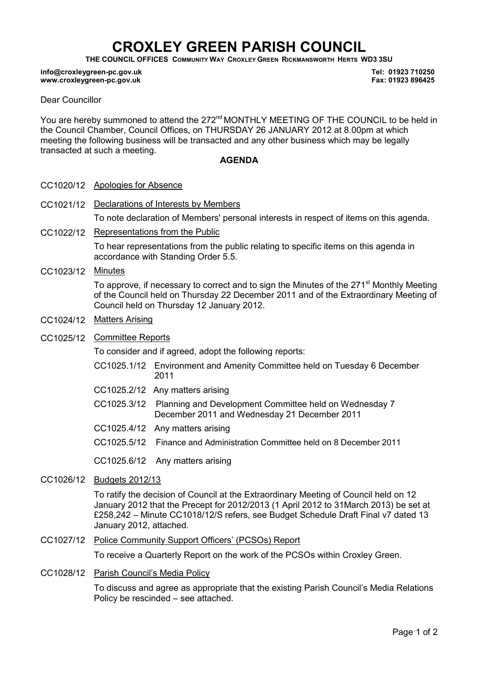# CROXLEY GREEN PARISH COUNCIL

THE COUNCIL OFFICES COMMUNITY WAY CROXLEY GREEN RICKMANSWORTH HERTS WD3 3SU

#### info@croxleygreen-pc.gov.uk www.croxleygreen-pc.gov.uk

Tel: 01923 710250 Fax: 01923 896425

### Dear Councillor

You are hereby summoned to attend the 272<sup>nd</sup> MONTHLY MEETING OF THE COUNCIL to be held in the Council Chamber, Council Offices, on THURSDAY 26 JANUARY 2012 at 8.00pm at which meeting the following business will be transacted and any other business which may be legally transacted at such a meeting.

#### AGENDA

- CC1020/12 Apologies for Absence
- CC1021/12 Declarations of Interests by Members To note declaration of Members' personal interests in respect of items on this agenda.
- CC1022/12 Representations from the Public To hear representations from the public relating to specific items on this agenda in accordance with Standing Order 5.5.
- CC1023/12 Minutes

To approve, if necessary to correct and to sign the Minutes of the 271<sup>st</sup> Monthly Meeting of the Council held on Thursday 22 December 2011 and of the Extraordinary Meeting of Council held on Thursday 12 January 2012.

- CC1024/12 Matters Arising
- CC1025/12 Committee Reports

To consider and if agreed, adopt the following reports:

- CC1025.1/12 Environment and Amenity Committee held on Tuesday 6 December 2011
- CC1025.2/12 Any matters arising
- C CC1025.3/12 Planning and Development Committee held on Wednesday 7 December 2011 and Wednesday 21 December 2011
- CC1025.4/12 Any matters arising
- CC1025.5/12 Finance and Administration Committee held on 8 December 2011

CC1025.6/12 Any matters arising

CC1026/12 Budgets 2012/13

To ratify the decision of Council at the Extraordinary Meeting of Council held on 12 January 2012 that the Precept for 2012/2013 (1 April 2012 to 31March 2013) be set at £258,242 – Minute CC1018/12/S refers, see Budget Schedule Draft Final v7 dated 13 January 2012, attached.

CC1027/12 Police Community Support Officers' (PCSOs) Report

To receive a Quarterly Report on the work of the PCSOs within Croxley Green.

CC1028/12 Parish Council's Media Policy

To discuss and agree as appropriate that the existing Parish Council's Media Relations Policy be rescinded – see attached.